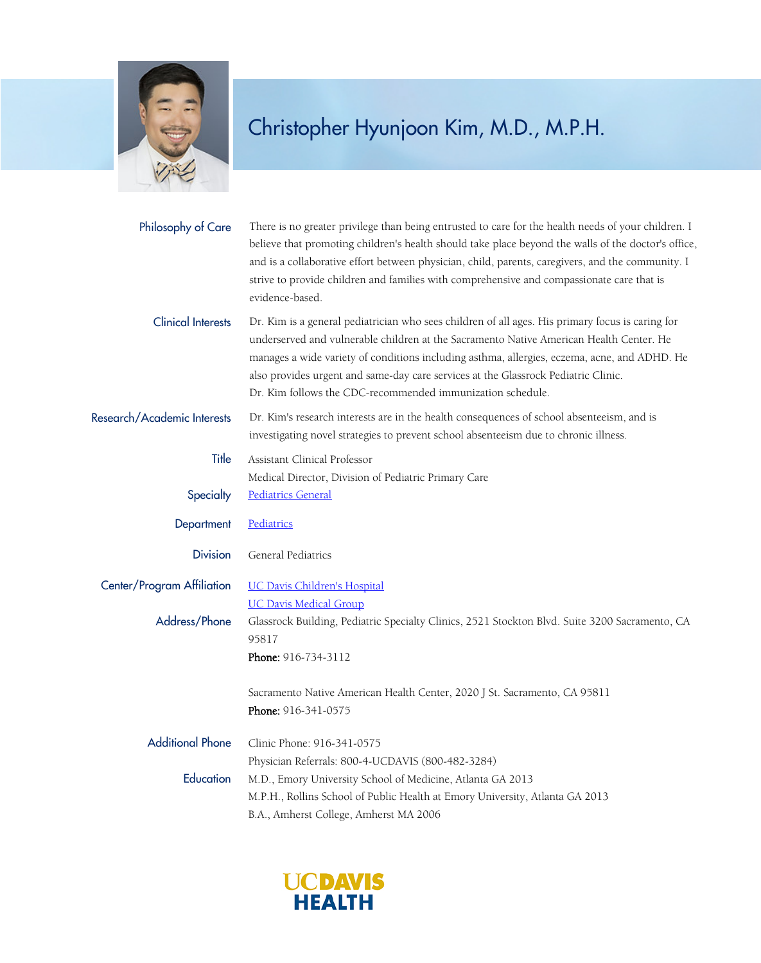

## Christopher Hyunjoon Kim, M.D., M.P.H.

| Philosophy of Care          | There is no greater privilege than being entrusted to care for the health needs of your children. I<br>believe that promoting children's health should take place beyond the walls of the doctor's office,<br>and is a collaborative effort between physician, child, parents, caregivers, and the community. I<br>strive to provide children and families with comprehensive and compassionate care that is<br>evidence-based.                 |
|-----------------------------|-------------------------------------------------------------------------------------------------------------------------------------------------------------------------------------------------------------------------------------------------------------------------------------------------------------------------------------------------------------------------------------------------------------------------------------------------|
| <b>Clinical Interests</b>   | Dr. Kim is a general pediatrician who sees children of all ages. His primary focus is caring for<br>underserved and vulnerable children at the Sacramento Native American Health Center. He<br>manages a wide variety of conditions including asthma, allergies, eczema, acne, and ADHD. He<br>also provides urgent and same-day care services at the Glassrock Pediatric Clinic.<br>Dr. Kim follows the CDC-recommended immunization schedule. |
| Research/Academic Interests | Dr. Kim's research interests are in the health consequences of school absenteeism, and is<br>investigating novel strategies to prevent school absenteeism due to chronic illness.                                                                                                                                                                                                                                                               |
| Title                       | Assistant Clinical Professor                                                                                                                                                                                                                                                                                                                                                                                                                    |
|                             | Medical Director, Division of Pediatric Primary Care                                                                                                                                                                                                                                                                                                                                                                                            |
| Specialty                   | <b>Pediatrics General</b>                                                                                                                                                                                                                                                                                                                                                                                                                       |
| Department                  | Pediatrics                                                                                                                                                                                                                                                                                                                                                                                                                                      |
| <b>Division</b>             | General Pediatrics                                                                                                                                                                                                                                                                                                                                                                                                                              |
| Center/Program Affiliation  | <b>UC Davis Children's Hospital</b>                                                                                                                                                                                                                                                                                                                                                                                                             |
|                             | <b>UC Davis Medical Group</b>                                                                                                                                                                                                                                                                                                                                                                                                                   |
| Address/Phone               | Glassrock Building, Pediatric Specialty Clinics, 2521 Stockton Blvd. Suite 3200 Sacramento, CA<br>95817                                                                                                                                                                                                                                                                                                                                         |
|                             | Phone: 916-734-3112                                                                                                                                                                                                                                                                                                                                                                                                                             |
|                             | Sacramento Native American Health Center, 2020 J St. Sacramento, CA 95811                                                                                                                                                                                                                                                                                                                                                                       |
|                             | Phone: 916-341-0575                                                                                                                                                                                                                                                                                                                                                                                                                             |
| <b>Additional Phone</b>     | Clinic Phone: 916-341-0575                                                                                                                                                                                                                                                                                                                                                                                                                      |
|                             | Physician Referrals: 800-4-UCDAVIS (800-482-3284)                                                                                                                                                                                                                                                                                                                                                                                               |
| Education                   | M.D., Emory University School of Medicine, Atlanta GA 2013                                                                                                                                                                                                                                                                                                                                                                                      |
|                             | M.P.H., Rollins School of Public Health at Emory University, Atlanta GA 2013                                                                                                                                                                                                                                                                                                                                                                    |
|                             | B.A., Amherst College, Amherst MA 2006                                                                                                                                                                                                                                                                                                                                                                                                          |

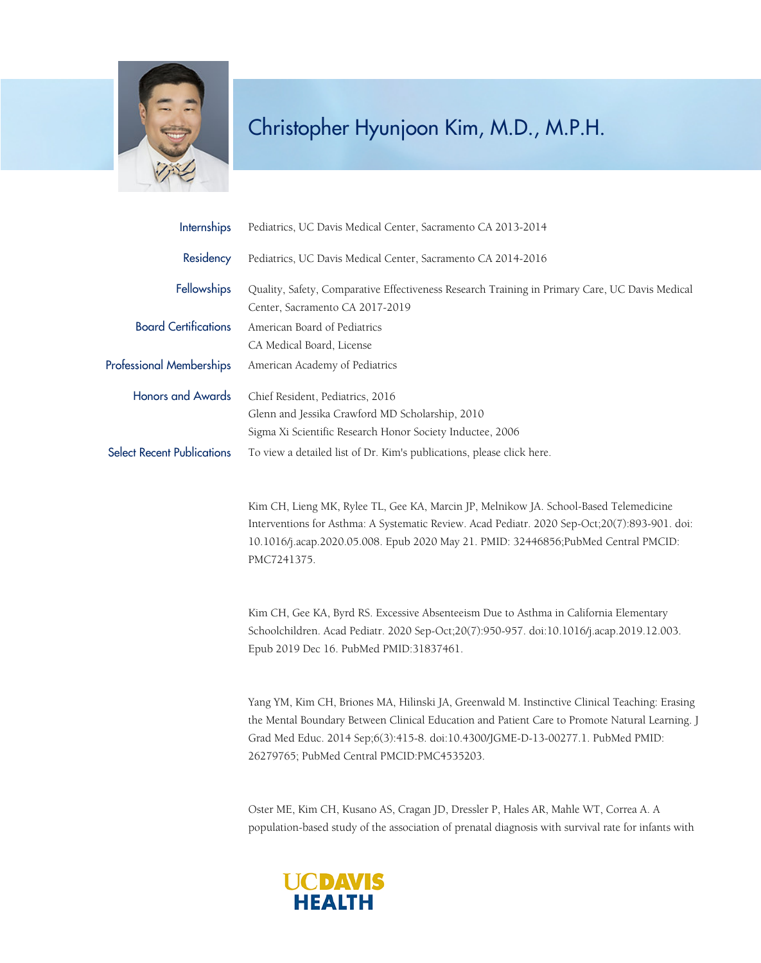

## Christopher Hyunjoon Kim, M.D., M.P.H.

| <b>Internships</b>                | Pediatrics, UC Davis Medical Center, Sacramento CA 2013-2014                                                                                                                                                                                                                                                                     |
|-----------------------------------|----------------------------------------------------------------------------------------------------------------------------------------------------------------------------------------------------------------------------------------------------------------------------------------------------------------------------------|
| Residency                         | Pediatrics, UC Davis Medical Center, Sacramento CA 2014-2016                                                                                                                                                                                                                                                                     |
| Fellowships                       | Quality, Safety, Comparative Effectiveness Research Training in Primary Care, UC Davis Medical<br>Center, Sacramento CA 2017-2019                                                                                                                                                                                                |
| <b>Board Certifications</b>       | American Board of Pediatrics                                                                                                                                                                                                                                                                                                     |
|                                   | CA Medical Board, License                                                                                                                                                                                                                                                                                                        |
| <b>Professional Memberships</b>   | American Academy of Pediatrics                                                                                                                                                                                                                                                                                                   |
| <b>Honors and Awards</b>          | Chief Resident, Pediatrics, 2016                                                                                                                                                                                                                                                                                                 |
|                                   | Glenn and Jessika Crawford MD Scholarship, 2010                                                                                                                                                                                                                                                                                  |
|                                   | Sigma Xi Scientific Research Honor Society Inductee, 2006                                                                                                                                                                                                                                                                        |
| <b>Select Recent Publications</b> | To view a detailed list of Dr. Kim's publications, please click here.                                                                                                                                                                                                                                                            |
|                                   | Kim CH, Lieng MK, Rylee TL, Gee KA, Marcin JP, Melnikow JA. School-Based Telemedicine<br>Interventions for Asthma: A Systematic Review. Acad Pediatr. 2020 Sep-Oct;20(7):893-901. doi:<br>10.1016/j.acap.2020.05.008. Epub 2020 May 21. PMID: 32446856;PubMed Central PMCID:<br>PMC7241375.                                      |
|                                   | Kim CH, Gee KA, Byrd RS. Excessive Absenteeism Due to Asthma in California Elementary<br>Schoolchildren. Acad Pediatr. 2020 Sep-Oct;20(7):950-957. doi:10.1016/j.acap.2019.12.003.<br>Epub 2019 Dec 16. PubMed PMID:31837461.                                                                                                    |
|                                   | Yang YM, Kim CH, Briones MA, Hilinski JA, Greenwald M. Instinctive Clinical Teaching: Erasing<br>the Mental Boundary Between Clinical Education and Patient Care to Promote Natural Learning. J<br>Grad Med Educ. 2014 Sep;6(3):415-8. doi:10.4300/JGME-D-13-00277.1. PubMed PMID:<br>26279765; PubMed Central PMCID:PMC4535203. |

Oster ME, Kim CH, Kusano AS, Cragan JD, Dressler P, Hales AR, Mahle WT, Correa A. A population-based study of the association of prenatal diagnosis with survival rate for infants with